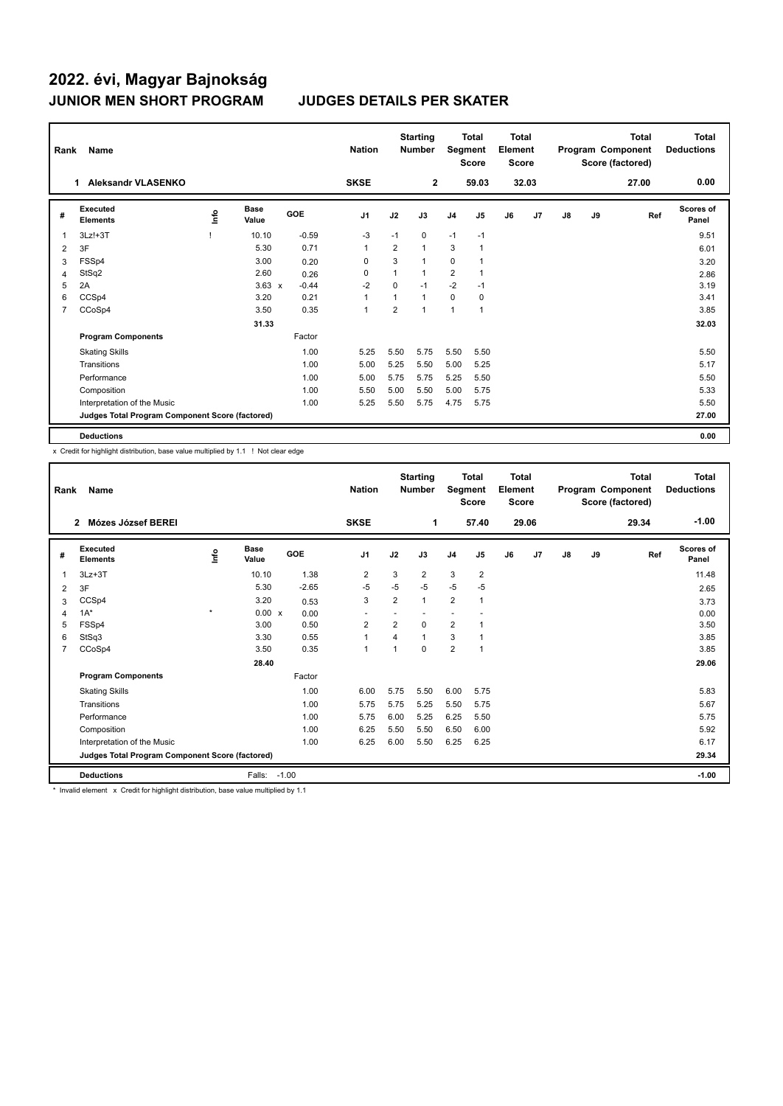## **2022. évi, Magyar Bajnokság JUNIOR MEN SHORT PROGRAM JUDGES DETAILS PER SKATER**

| Rank           | Name                                            |      |                      |         | <b>Nation</b>  |                | <b>Starting</b><br><b>Number</b> | Segment        | <b>Total</b><br><b>Score</b> | Total<br>Element<br><b>Score</b> |                |               |    | <b>Total</b><br>Program Component<br>Score (factored) | Total<br><b>Deductions</b> |
|----------------|-------------------------------------------------|------|----------------------|---------|----------------|----------------|----------------------------------|----------------|------------------------------|----------------------------------|----------------|---------------|----|-------------------------------------------------------|----------------------------|
|                | <b>Aleksandr VLASENKO</b><br>$\mathbf 1$        |      |                      |         | <b>SKSE</b>    |                | $\overline{2}$                   |                | 59.03                        |                                  | 32.03          |               |    | 27.00                                                 | 0.00                       |
| #              | Executed<br><b>Elements</b>                     | lnfo | <b>Base</b><br>Value | GOE     | J <sub>1</sub> | J2             | J3                               | J <sub>4</sub> | J <sub>5</sub>               | J6                               | J <sub>7</sub> | $\mathsf{J}8$ | J9 | Ref                                                   | Scores of<br>Panel         |
| 1              | $3Lz!+3T$                                       |      | 10.10                | $-0.59$ | $-3$           | $-1$           | 0                                | $-1$           | $-1$                         |                                  |                |               |    |                                                       | 9.51                       |
| 2              | 3F                                              |      | 5.30                 | 0.71    | $\overline{1}$ | $\overline{2}$ | $\mathbf{1}$                     | 3              | $\overline{1}$               |                                  |                |               |    |                                                       | 6.01                       |
| 3              | FSSp4                                           |      | 3.00                 | 0.20    | 0              | 3              | $\mathbf{1}$                     | $\mathbf 0$    |                              |                                  |                |               |    |                                                       | 3.20                       |
| 4              | StSq2                                           |      | 2.60                 | 0.26    | $\Omega$       | 1              | $\mathbf{1}$                     | $\overline{2}$ | $\overline{1}$               |                                  |                |               |    |                                                       | 2.86                       |
| 5              | 2A                                              |      | $3.63 \times$        | $-0.44$ | $-2$           | $\Omega$       | $-1$                             | $-2$           | $-1$                         |                                  |                |               |    |                                                       | 3.19                       |
| 6              | CCSp4                                           |      | 3.20                 | 0.21    | $\overline{1}$ |                | $\mathbf{1}$                     | $\Omega$       | 0                            |                                  |                |               |    |                                                       | 3.41                       |
| $\overline{7}$ | CCoSp4                                          |      | 3.50                 | 0.35    | $\overline{1}$ | 2              | $\mathbf{1}$                     | $\mathbf{1}$   | $\overline{1}$               |                                  |                |               |    |                                                       | 3.85                       |
|                |                                                 |      | 31.33                |         |                |                |                                  |                |                              |                                  |                |               |    |                                                       | 32.03                      |
|                | <b>Program Components</b>                       |      |                      | Factor  |                |                |                                  |                |                              |                                  |                |               |    |                                                       |                            |
|                | <b>Skating Skills</b>                           |      |                      | 1.00    | 5.25           | 5.50           | 5.75                             | 5.50           | 5.50                         |                                  |                |               |    |                                                       | 5.50                       |
|                | Transitions                                     |      |                      | 1.00    | 5.00           | 5.25           | 5.50                             | 5.00           | 5.25                         |                                  |                |               |    |                                                       | 5.17                       |
|                | Performance                                     |      |                      | 1.00    | 5.00           | 5.75           | 5.75                             | 5.25           | 5.50                         |                                  |                |               |    |                                                       | 5.50                       |
|                | Composition                                     |      |                      | 1.00    | 5.50           | 5.00           | 5.50                             | 5.00           | 5.75                         |                                  |                |               |    |                                                       | 5.33                       |
|                | Interpretation of the Music                     |      |                      | 1.00    | 5.25           | 5.50           | 5.75                             | 4.75           | 5.75                         |                                  |                |               |    |                                                       | 5.50                       |
|                | Judges Total Program Component Score (factored) |      |                      |         |                |                |                                  |                |                              |                                  |                |               |    |                                                       | 27.00                      |
|                | <b>Deductions</b>                               |      |                      |         |                |                |                                  |                |                              |                                  |                |               |    |                                                       | 0.00                       |

x Credit for highlight distribution, base value multiplied by 1.1 ! Not clear edge

| Rank           | Name                                            |         |                      |                      | <b>Nation</b>  |                         | <b>Starting</b><br><b>Number</b> | Segment        | Total<br><b>Score</b> | <b>Total</b><br>Element<br>Score |       |    |    | Total<br>Program Component<br>Score (factored) | <b>Total</b><br><b>Deductions</b> |
|----------------|-------------------------------------------------|---------|----------------------|----------------------|----------------|-------------------------|----------------------------------|----------------|-----------------------|----------------------------------|-------|----|----|------------------------------------------------|-----------------------------------|
|                | Mózes József BEREI<br>$\overline{2}$            |         |                      |                      | <b>SKSE</b>    |                         | 1                                |                | 57.40                 |                                  | 29.06 |    |    | 29.34                                          | $-1.00$                           |
| #              | Executed<br><b>Elements</b>                     | ١nf٥    | <b>Base</b><br>Value | GOE                  | J <sub>1</sub> | J2                      | J3                               | J <sub>4</sub> | J5                    | J6                               | J7    | J8 | J9 | Ref                                            | <b>Scores of</b><br>Panel         |
| 1              | $3Lz + 3T$                                      |         | 10.10                | 1.38                 | 2              | 3                       | $\overline{2}$                   | 3              | $\overline{2}$        |                                  |       |    |    |                                                | 11.48                             |
| $\overline{2}$ | 3F                                              |         | 5.30                 | $-2.65$              | $-5$           | $-5$                    | $-5$                             | $-5$           | $-5$                  |                                  |       |    |    |                                                | 2.65                              |
| 3              | CCSp4                                           |         | 3.20                 | 0.53                 | 3              | $\overline{2}$          | $\mathbf{1}$                     | $\overline{2}$ | -1                    |                                  |       |    |    |                                                | 3.73                              |
| $\overline{4}$ | $1A^*$                                          | $\star$ | 0.00                 | $\mathsf{x}$<br>0.00 | ۰              |                         |                                  | ٠              |                       |                                  |       |    |    |                                                | 0.00                              |
| 5              | FSSp4                                           |         | 3.00                 | 0.50                 | $\overline{2}$ | $\overline{2}$          | $\Omega$                         | $\overline{2}$ |                       |                                  |       |    |    |                                                | 3.50                              |
| 6              | StSq3                                           |         | 3.30                 | 0.55                 | $\mathbf{1}$   | 4                       | $\mathbf{1}$                     | 3              |                       |                                  |       |    |    |                                                | 3.85                              |
| $\overline{7}$ | CCoSp4                                          |         | 3.50                 | 0.35                 | $\mathbf{1}$   | $\overline{\mathbf{1}}$ | $\Omega$                         | $\overline{2}$ | $\overline{ }$        |                                  |       |    |    |                                                | 3.85                              |
|                |                                                 |         | 28.40                |                      |                |                         |                                  |                |                       |                                  |       |    |    |                                                | 29.06                             |
|                | <b>Program Components</b>                       |         |                      | Factor               |                |                         |                                  |                |                       |                                  |       |    |    |                                                |                                   |
|                | <b>Skating Skills</b>                           |         |                      | 1.00                 | 6.00           | 5.75                    | 5.50                             | 6.00           | 5.75                  |                                  |       |    |    |                                                | 5.83                              |
|                | Transitions                                     |         |                      | 1.00                 | 5.75           | 5.75                    | 5.25                             | 5.50           | 5.75                  |                                  |       |    |    |                                                | 5.67                              |
|                | Performance                                     |         |                      | 1.00                 | 5.75           | 6.00                    | 5.25                             | 6.25           | 5.50                  |                                  |       |    |    |                                                | 5.75                              |
|                | Composition                                     |         |                      | 1.00                 | 6.25           | 5.50                    | 5.50                             | 6.50           | 6.00                  |                                  |       |    |    |                                                | 5.92                              |
|                | Interpretation of the Music                     |         |                      | 1.00                 | 6.25           | 6.00                    | 5.50                             | 6.25           | 6.25                  |                                  |       |    |    |                                                | 6.17                              |
|                | Judges Total Program Component Score (factored) |         |                      |                      |                |                         |                                  |                |                       |                                  |       |    |    |                                                | 29.34                             |
|                | <b>Deductions</b>                               |         | Falls:               | $-1.00$              |                |                         |                                  |                |                       |                                  |       |    |    |                                                | $-1.00$                           |

\* Invalid element x Credit for highlight distribution, base value multiplied by 1.1